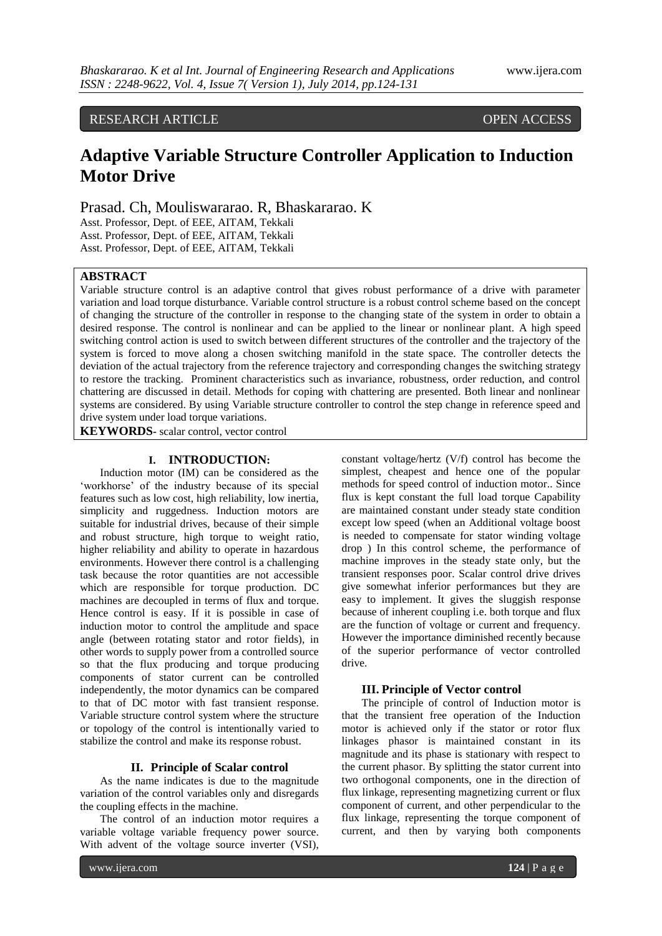RESEARCH ARTICLE OPEN ACCESS

# **Adaptive Variable Structure Controller Application to Induction Motor Drive**

Prasad. Ch, Mouliswararao. R, Bhaskararao. K

Asst. Professor, Dept. of EEE, AITAM, Tekkali Asst. Professor, Dept. of EEE, AITAM, Tekkali Asst. Professor, Dept. of EEE, AITAM, Tekkali

## **ABSTRACT**

Variable structure control is an adaptive control that gives robust performance of a drive with parameter variation and load torque disturbance. Variable control structure is a robust control scheme based on the concept of changing the structure of the controller in response to the changing state of the system in order to obtain a desired response. The control is nonlinear and can be applied to the linear or nonlinear plant. A high speed switching control action is used to switch between different structures of the controller and the trajectory of the system is forced to move along a chosen switching manifold in the state space. The controller detects the deviation of the actual trajectory from the reference trajectory and corresponding changes the switching strategy to restore the tracking. Prominent characteristics such as invariance, robustness, order reduction, and control chattering are discussed in detail. Methods for coping with chattering are presented. Both linear and nonlinear systems are considered. By using Variable structure controller to control the step change in reference speed and drive system under load torque variations.

**KEYWORDS-** scalar control, vector control

# **I. INTRODUCTION:**

Induction motor (IM) can be considered as the 'workhorse' of the industry because of its special features such as low cost, high reliability, low inertia, simplicity and ruggedness. Induction motors are suitable for industrial drives, because of their simple and robust structure, high torque to weight ratio, higher reliability and ability to operate in hazardous environments. However there control is a challenging task because the rotor quantities are not accessible which are responsible for torque production. DC machines are decoupled in terms of flux and torque. Hence control is easy. If it is possible in case of induction motor to control the amplitude and space angle (between rotating stator and rotor fields), in other words to supply power from a controlled source so that the flux producing and torque producing components of stator current can be controlled independently, the motor dynamics can be compared to that of DC motor with fast transient response. Variable structure control system where the structure or topology of the control is intentionally varied to stabilize the control and make its response robust.

## **II. Principle of Scalar control**

As the name indicates is due to the magnitude variation of the control variables only and disregards the coupling effects in the machine.

The control of an induction motor requires a variable voltage variable frequency power source. With advent of the voltage source inverter (VSI), constant voltage/hertz (V/f) control has become the simplest, cheapest and hence one of the popular methods for speed control of induction motor.. Since flux is kept constant the full load torque Capability are maintained constant under steady state condition except low speed (when an Additional voltage boost is needed to compensate for stator winding voltage drop ) In this control scheme, the performance of machine improves in the steady state only, but the transient responses poor. Scalar control drive drives give somewhat inferior performances but they are easy to implement. It gives the sluggish response because of inherent coupling i.e. both torque and flux are the function of voltage or current and frequency. However the importance diminished recently because of the superior performance of vector controlled drive.

### **III. Principle of Vector control**

The principle of control of Induction motor is that the transient free operation of the Induction motor is achieved only if the stator or rotor flux linkages phasor is maintained constant in its magnitude and its phase is stationary with respect to the current phasor. By splitting the stator current into two orthogonal components, one in the direction of flux linkage, representing magnetizing current or flux component of current, and other perpendicular to the flux linkage, representing the torque component of current, and then by varying both components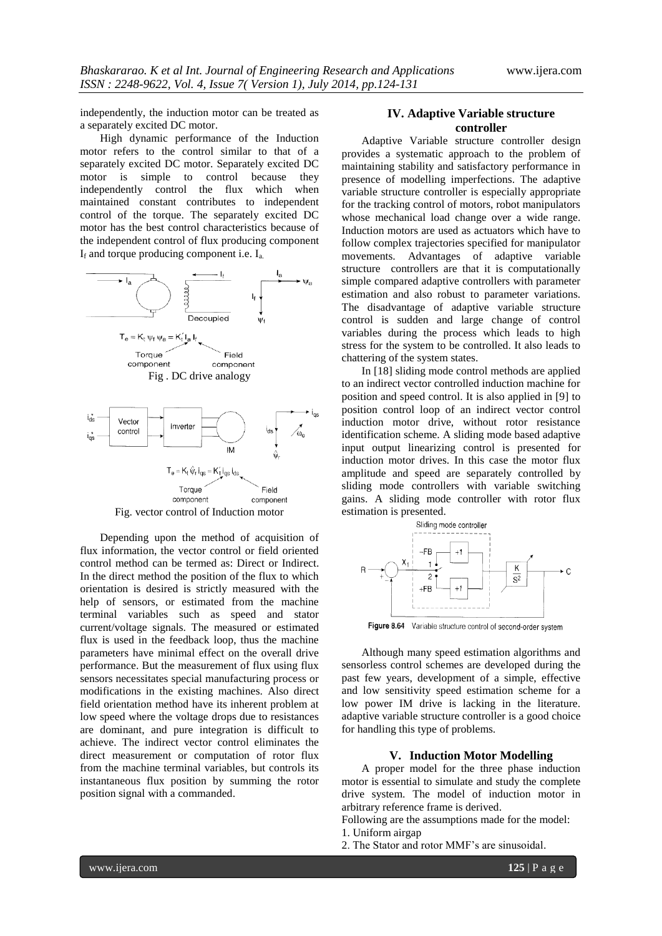independently, the induction motor can be treated as a separately excited DC motor.

High dynamic performance of the Induction motor refers to the control similar to that of a separately excited DC motor. Separately excited DC motor is simple to control because they independently control the flux which when maintained constant contributes to independent control of the torque. The separately excited DC motor has the best control characteristics because of the independent control of flux producing component  $I_f$  and torque producing component i.e.  $I_a$ .



Fig. vector control of Induction motor

Depending upon the method of acquisition of flux information, the vector control or field oriented control method can be termed as: Direct or Indirect. In the direct method the position of the flux to which orientation is desired is strictly measured with the help of sensors, or estimated from the machine terminal variables such as speed and stator current/voltage signals. The measured or estimated flux is used in the feedback loop, thus the machine parameters have minimal effect on the overall drive performance. But the measurement of flux using flux sensors necessitates special manufacturing process or modifications in the existing machines. Also direct field orientation method have its inherent problem at low speed where the voltage drops due to resistances are dominant, and pure integration is difficult to achieve. The indirect vector control eliminates the direct measurement or computation of rotor flux from the machine terminal variables, but controls its instantaneous flux position by summing the rotor position signal with a commanded.

## **IV. Adaptive Variable structure controller**

Adaptive Variable structure controller design provides a systematic approach to the problem of maintaining stability and satisfactory performance in presence of modelling imperfections. The adaptive variable structure controller is especially appropriate for the tracking control of motors, robot manipulators whose mechanical load change over a wide range. Induction motors are used as actuators which have to follow complex trajectories specified for manipulator movements. Advantages of adaptive variable structure controllers are that it is computationally simple compared adaptive controllers with parameter estimation and also robust to parameter variations. The disadvantage of adaptive variable structure control is sudden and large change of control variables during the process which leads to high stress for the system to be controlled. It also leads to chattering of the system states.

In [18] sliding mode control methods are applied to an indirect vector controlled induction machine for position and speed control. It is also applied in [9] to position control loop of an indirect vector control induction motor drive, without rotor resistance identification scheme. A sliding mode based adaptive input output linearizing control is presented for induction motor drives. In this case the motor flux amplitude and speed are separately controlled by sliding mode controllers with variable switching gains. A sliding mode controller with rotor flux estimation is presented.



Figure 8.64 Variable structure control of second-order system

Although many speed estimation algorithms and sensorless control schemes are developed during the past few years, development of a simple, effective and low sensitivity speed estimation scheme for a low power IM drive is lacking in the literature. adaptive variable structure controller is a good choice for handling this type of problems.

### **V. Induction Motor Modelling**

A proper model for the three phase induction motor is essential to simulate and study the complete drive system. The model of induction motor in arbitrary reference frame is derived.

Following are the assumptions made for the model: 1. Uniform airgap

2. The Stator and rotor MMF"s are sinusoidal.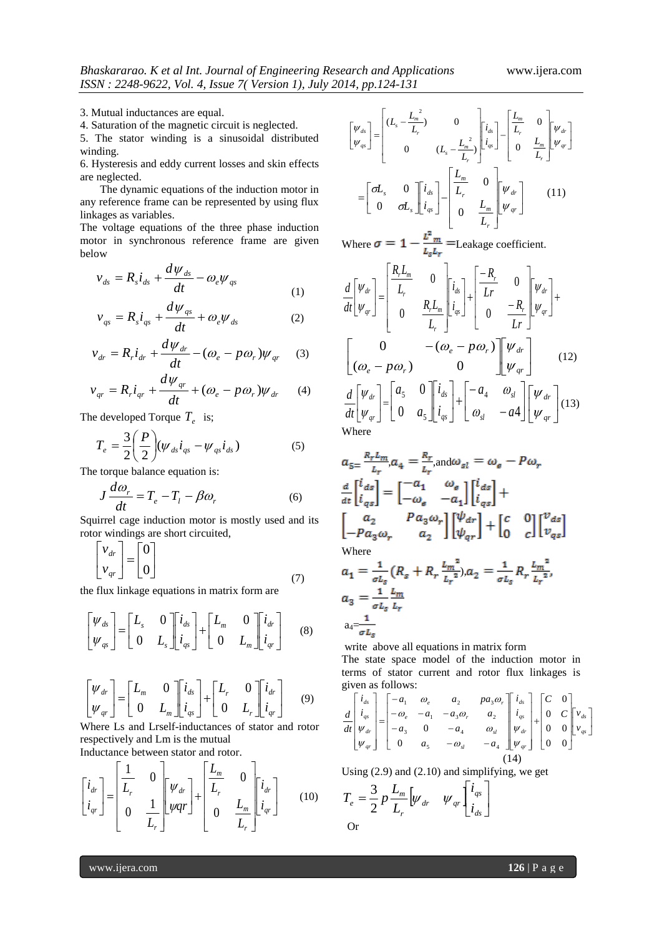3. Mutual inductances are equal.

4. Saturation of the magnetic circuit is neglected.

5. The stator winding is a sinusoidal distributed winding.

6. Hysteresis and eddy current losses and skin effects are neglected.

The dynamic equations of the induction motor in any reference frame can be represented by using flux linkages as variables.

The voltage equations of the three phase induction motor in synchronous reference frame are given below

$$
v_{ds} = R_s \dot{t}_{ds} + \frac{d\psi_{ds}}{dt} - \omega_e \psi_{qs}
$$
 (1)

$$
v_{qs} = R_s i_{qs} + \frac{d\psi_{qs}}{dt} + \omega_e \psi_{ds}
$$
 (2)

$$
v_{dr} = R_r i_{dr} + \frac{d\psi_{dr}}{dt} - (\omega_e - p\omega_r)\psi_{qr} \quad (3)
$$

$$
v_{qr} = R_r i_{qr} + \frac{d\psi_{qr}}{dt} + (\omega_e - p\omega_r)\psi_{dr}
$$
 (4)

The developed Torque  $T_e$  is;

$$
T_e = \frac{3}{2} \left( \frac{P}{2} \right) \left( \psi_{ds} i_{qs} - \psi_{qs} i_{ds} \right) \tag{5}
$$

The torque balance equation is:

$$
J\frac{d\omega_r}{dt} = T_e - T_l - \beta\omega_r
$$
 (6)

Squirrel cage induction motor is mostly used and its rotor windings are short circuited,

$$
\begin{bmatrix} v_{dr} \\ v_{qr} \end{bmatrix} = \begin{bmatrix} 0 \\ 0 \end{bmatrix}
$$
 (7)

the flux linkage equations in matrix form are

$$
\begin{bmatrix} \Psi_{ds} \\ \Psi_{qs} \end{bmatrix} = \begin{bmatrix} L_s & 0 \\ 0 & L_s \end{bmatrix} \begin{bmatrix} i_{ds} \\ i_{qs} \end{bmatrix} + \begin{bmatrix} L_m & 0 \\ 0 & L_m \end{bmatrix} \begin{bmatrix} i_{dr} \\ i_{qr} \end{bmatrix}
$$
 (8)

$$
\begin{bmatrix} \mathbf{\Psi}_{dr} \\ \mathbf{\Psi}_{qr} \end{bmatrix} = \begin{bmatrix} L_m & 0 \\ 0 & L_m \end{bmatrix} \begin{bmatrix} i_{ds} \\ i_{qs} \end{bmatrix} + \begin{bmatrix} L_r & 0 \\ 0 & L_r \end{bmatrix} \begin{bmatrix} i_{dr} \\ i_{qr} \end{bmatrix}
$$
(9)

Where Ls and Lrself-inductances of stator and rotor respectively and Lm is the mutual

 $\overline{1}$ 

Inductance between stator and rotor.  $\mathbf{L}$ 

$$
\begin{bmatrix} i_{dr} \\ i_{qr} \end{bmatrix} = \begin{bmatrix} \frac{1}{L_r} & 0 & \psi_{dr} \\ 0 & \frac{1}{L_r} \end{bmatrix} \begin{bmatrix} \psi_{dr} \\ \psiqr \end{bmatrix} + \begin{bmatrix} \frac{L_m}{L_r} & 0 & \psi_{dr} \\ 0 & \frac{L_m}{L_r} \end{bmatrix} \begin{bmatrix} i_{dr} \\ i_{qr} \end{bmatrix}
$$
(10)

$$
\begin{bmatrix} \psi_{ds} \\ \psi_{qs} \end{bmatrix} = \begin{bmatrix} (L_s - \frac{L_m^2}{L_r}) & 0 \\ 0 & (L_s - \frac{L_m^2}{L_r}) \end{bmatrix} \begin{bmatrix} i_{ds} \\ i_{qs} \end{bmatrix} - \begin{bmatrix} \frac{L_m}{L_r} & 0 \\ 0 & \frac{L_m}{L_r} \end{bmatrix} \begin{bmatrix} \psi_{dr} \\ \psi_{qr} \end{bmatrix}
$$

$$
= \begin{bmatrix} \sigma L_s & 0 \\ 0 & \sigma L_s \end{bmatrix} \begin{bmatrix} i_{ds} \\ i_{qs} \end{bmatrix} - \begin{bmatrix} \frac{L_m}{L_r} & 0 \\ 0 & \frac{L_m}{L_r} \end{bmatrix} \begin{bmatrix} \psi_{dr} \\ \psi_{qr} \end{bmatrix}
$$
(11)

Where  $\sigma = 1 - \frac{m}{l}$  = Leakage coefficient.

$$
\frac{d}{dt} \begin{bmatrix} \psi_{dr} \\ \psi_{qr} \end{bmatrix} = \begin{bmatrix} \frac{R_r L_m}{L_r} & 0 \\ 0 & \frac{R_r L_m}{L_r} \end{bmatrix} \begin{bmatrix} i_{ds} \\ i_{qs} \end{bmatrix} + \begin{bmatrix} -R_r & 0 \\ Ir & 0 \\ 0 & -R_r \end{bmatrix} \begin{bmatrix} \psi_{dr} \\ \psi_{qr} \end{bmatrix} + \begin{bmatrix} 0 & -(\omega_e - p\omega_r) \\ (\omega_e - p\omega_r) & 0 \end{bmatrix} \begin{bmatrix} \psi_{dr} \\ \psi_{qr} \end{bmatrix} \qquad (12)
$$
\n
$$
\frac{d}{dt} \begin{bmatrix} \psi_{dr} \\ \psi_{qr} \end{bmatrix} = \begin{bmatrix} a_5 & 0 \\ 0 & a_5 \end{bmatrix} \begin{bmatrix} i_{ds} \\ i_{qs} \end{bmatrix} + \begin{bmatrix} -a_4 & \omega_{sl} \\ \omega_{sl} & -a4 \end{bmatrix} \begin{bmatrix} \psi_{dr} \\ \psi_{qr} \end{bmatrix} (13)
$$
\nWhere

$$
a_{5} = \frac{R_r L_m}{L_r}, a_4 = \frac{R_r}{L_r}, \text{and } \omega_{sl} = \omega_s - P \omega_r
$$
  
\n
$$
\frac{d}{dt} \begin{bmatrix} i_{ds} \\ i_{qs} \end{bmatrix} = \begin{bmatrix} -a_1 & \omega_s \\ -\omega_s & -a_1 \end{bmatrix} \begin{bmatrix} i_{ds} \\ i_{qs} \end{bmatrix} +
$$
  
\n
$$
\begin{bmatrix} a_2 & P a_3 \omega_r \\ -P a_3 \omega_r & a_2 \end{bmatrix} \begin{bmatrix} \psi_{dr} \\ \psi_{qr} \end{bmatrix} + \begin{bmatrix} c & 0 \\ 0 & c \end{bmatrix} \begin{bmatrix} v_{ds} \\ v_{qs} \end{bmatrix}
$$
  
\nWhere  
\n
$$
a_1 = \frac{1}{\sigma L_s} (R_s + R_r \frac{L_m^2}{L_r^2}), a_2 = \frac{1}{\sigma L_s} R_r \frac{L_m^2}{L_r^2},
$$
  
\n
$$
a_3 = \frac{1}{\sigma L_s} \frac{L_m}{L_r}
$$
  
\n
$$
a_4 = \frac{1}{\sigma L_s}
$$

write above all equations in matrix form The state space model of the induction motor in terms of stator current and rotor flux linkages is given as follows:

$$
\frac{d}{dt} \begin{bmatrix} i_{ds} \\ i_{qs} \\ \psi_{dr} \\ \psi_{qr} \end{bmatrix} = \begin{bmatrix} -a_1 & \omega_e & a_2 & p a_3 \omega_r \\ -\omega_e & -a_1 & -a_3 \omega_r & a_2 \\ -a_3 & 0 & -a_4 & \omega_s \\ 0 & a_5 & -\omega_s & -a_4 \end{bmatrix} \begin{bmatrix} i_{ds} \\ i_{qs} \\ \psi_{dr} \\ \psi_{qr} \end{bmatrix} + \begin{bmatrix} C & 0 \\ 0 & C \\ 0 & 0 \\ 0 & 0 \end{bmatrix} \begin{bmatrix} v_{ds} \\ v_{ds} \\ v_{qs} \end{bmatrix}
$$
\n
$$
(14)
$$

Using (2.9) and (2.10) and simplifying, we get

$$
T_e = \frac{3}{2} p \frac{L_m}{L_r} \left[ \psi_{dr} \quad \psi_{qr} \left[ \frac{i_{qs}}{i_{ds}} \right] \right]
$$
Or

www.ijera.com **126** | P a g e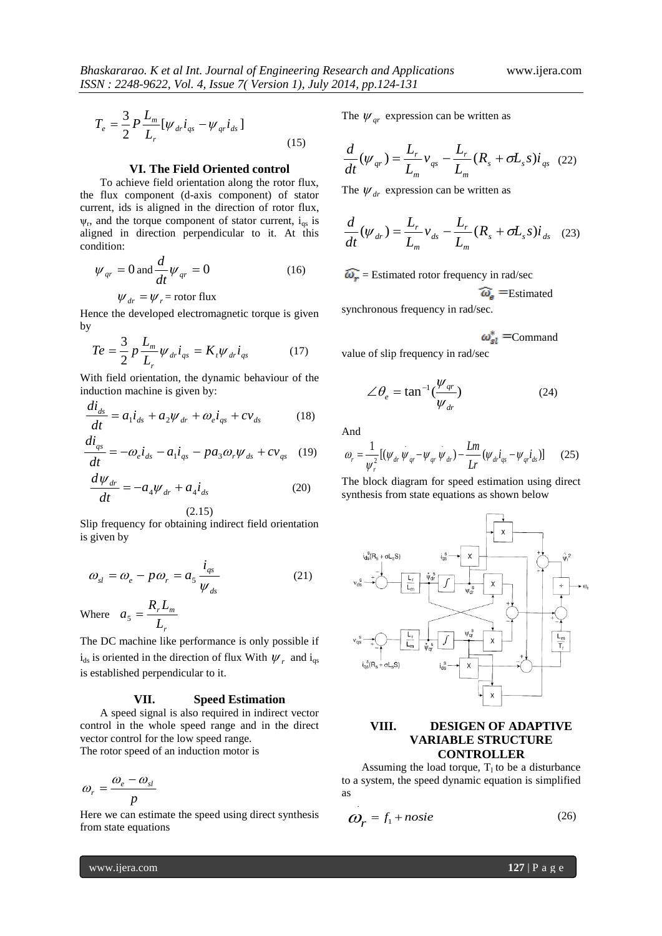$$
T_e = \frac{3}{2} P \frac{L_m}{L_r} [\psi_{dr} i_{qs} - \psi_{qr} i_{ds}]
$$
\n(15)

## **VI. The Field Oriented control**

To achieve field orientation along the rotor flux, the flux component (d-axis component) of stator current, ids is aligned in the direction of rotor flux,  $\psi_r$ , and the torque component of stator current,  $i_{qs}$  is aligned in direction perpendicular to it. At this condition:

$$
\psi_{qr} = 0 \text{ and } \frac{d}{dt} \psi_{qr} = 0 \tag{16}
$$

$$
\psi_{dr} = \psi_r = \text{rotor flux}
$$

Hence the developed electromagnetic torque is given by

$$
Te = \frac{3}{2} p \frac{L_m}{L_r} \psi_{dr} i_{qs} = K_t \psi_{dr} i_{qs}
$$
 (17)

With field orientation, the dynamic behaviour of the induction machine is given by:

$$
\frac{di_{ds}}{dt} = a_1 \dot{i}_{ds} + a_2 \psi_{dr} + \omega_e \dot{i}_{qs} + c \nu_{ds}
$$
 (18)

$$
\frac{di_{qs}}{dt} = -\omega_e i_{ds} - a_1 i_{qs} - p a_3 \omega_r \psi_{ds} + c v_{qs} \quad (19)
$$

$$
\frac{d\psi_{dr}}{dt} = -a_4 \psi_{dr} + a_4 \dot{i}_{ds}
$$
 (20)

(2.15)

Slip frequency for obtaining indirect field orientation is given by

$$
\omega_{sl} = \omega_e - p\omega_r = a_5 \frac{i_{qs}}{\psi_{ds}}
$$
 (21)

Where *r r m L*  $a_5 = \frac{R_r L_m}{I}$ 

The DC machine like performance is only possible if  $i_{ds}$  is oriented in the direction of flux With  $\psi_r$  and  $i_{qs}$ is established perpendicular to it.

## **VII. Speed Estimation**

A speed signal is also required in indirect vector control in the whole speed range and in the direct vector control for the low speed range. The rotor speed of an induction motor is

$$
\omega_r = \frac{\omega_e - \omega_{sl}}{p}
$$

Here we can estimate the speed using direct synthesis from state equations

The  $\psi_{qr}$  expression can be written as

$$
\frac{d}{dt}(\psi_{qr}) = \frac{L_r}{L_m}v_{qs} - \frac{L_r}{L_m}(R_s + \sigma L_s s)i_{qs}
$$
 (22)

The  $\psi_{dr}$  expression can be written as

$$
\frac{d}{dt}(\psi_{dr}) = \frac{L_r}{L_m}v_{ds} - \frac{L_r}{L_m}(R_s + \sigma L_s s)\dot{i}_{ds} \quad (23)
$$

 $\widehat{\omega_r}$  = Estimated rotor frequency in rad/sec

$$
\widehat{\omega}_{\mathbf{e}}
$$
 = Estimated

synchronous frequency in rad/sec.

$$
\omega_{sl}^* = \text{Command}
$$

value of slip frequency in rad/sec

$$
\angle \theta_e = \tan^{-1}(\frac{\psi_{qr}}{\psi_{dr}})
$$
 (24)

And

$$
\omega_r = \frac{1}{\psi_r^2} \left[ (\psi_{dr} \psi_{qr} - \psi_{qr} \psi_{dr}) - \frac{Lm}{Lr} (\psi_{dr} i_{qs} - \psi_{qr} i_{ds}) \right] \tag{25}
$$

The block diagram for speed estimation using direct synthesis from state equations as shown below



# **VIII. DESIGEN OF ADAPTIVE VARIABLE STRUCTURE CONTROLLER**

Assuming the load torque,  $T_1$  to be a disturbance to a system, the speed dynamic equation is simplified as .

$$
\omega_r = f_1 + noise \tag{26}
$$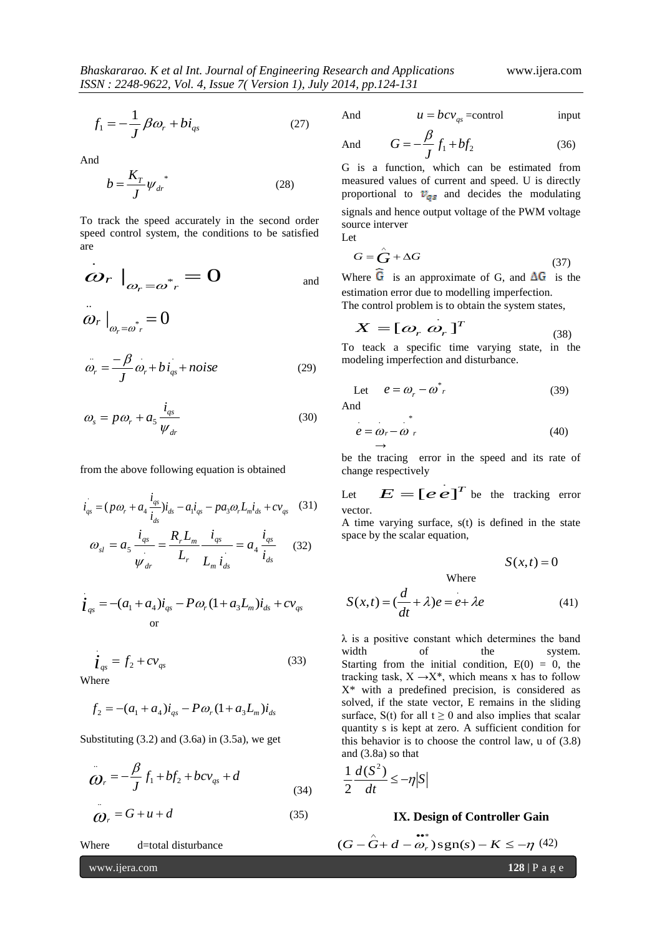$$
f_1 = -\frac{1}{J} \beta \omega_r + b i_{qs} \tag{27}
$$

And

$$
b = \frac{K_T}{J} \psi_{dr}^* \tag{28}
$$

To track the speed accurately in the second order speed control system, the conditions to be satisfied are

$$
\left. \dot{\boldsymbol{\omega}}_{r} \right|_{\boldsymbol{\omega}_{r} = \boldsymbol{\omega}^{*}} = 0 \qquad \qquad \text{and} \qquad
$$

 $\omega_r \big|_{\omega_r = \omega_r^*} = 0$ ..  $\cdot$  .  $\cdot$  .  $\cdot$  .

$$
\ddot{\omega}_r = -\frac{\beta}{J} \dot{\omega}_r + b \dot{i}_{qs} + noise \tag{29}
$$

$$
\omega_s = p\omega_r + a_5 \frac{i_{qs}}{\psi_{dr}}
$$
\n(30)

from the above following equation is obtained

$$
\dot{i}_{gs} = (p\omega_r + a_4 \frac{\dot{i}_{gs}}{\dot{i}_{ds}}) \dot{i}_{ds} - a_1 \dot{i}_{gs} - p a_3 \omega_r L_m \dot{i}_{ds} + c v_{gs} \quad (31)
$$
\n
$$
\omega_{sl} = a_5 \frac{\dot{i}_{gs}}{\psi_{dr}} = \frac{R_r L_m}{L_r} \frac{\dot{i}_{gs}}{L_m \dot{i}_{ds}} = a_4 \frac{\dot{i}_{gs}}{\dot{i}_{ds}} \quad (32)
$$

$$
\dot{\mathbf{i}}_{qs} = -(a_1 + a_4)\dot{\mathbf{i}}_{qs} - P\omega_r (1 + a_3 L_m)\dot{\mathbf{i}}_{ds} + c v_{qs}
$$
 or

$$
\dot{\mathbf{I}}_{qs} = f_2 + c v_{qs} \tag{33}
$$

Where

.

$$
f_2 = -(a_1 + a_4)i_{qs} - P\omega_r (1 + a_3 L_m)i_{ds}
$$

Substituting  $(3.2)$  and  $(3.6a)$  in  $(3.5a)$ , we get

$$
\ddot{\bm{O}}_r = -\frac{\beta}{J} f_1 + bf_2 + bcv_{qs} + d
$$
\n(34)

$$
\ddot{Q}_r = G + u + d \tag{35}
$$

Where d=total disturbance

$$
\color{blue}{\cdots}
$$

And  $u = bcv_{qs}$  =control input

And 
$$
G = -\frac{\beta}{J} f_1 + b f_2 \qquad (36)
$$

G is a function, which can be estimated from measured values of current and speed. U is directly proportional to  $v_{qs}$  and decides the modulating signals and hence output voltage of the PWM voltage source interver

Let

$$
G = \hat{G} + \Delta G \tag{37}
$$

Where G is an approximate of G, and  $\Delta G$  is the estimation error due to modelling imperfection. The control problem is to obtain the system states

*T* .

$$
X = [\omega_r \ \omega_r]^T \tag{38}
$$

To teack a specific time varying state, in the modeling imperfection and disturbance.

Let 
$$
e = \omega_r - \omega^*{}_{r}
$$
 (39)

$$
e = \omega_r - \omega_r \tag{40}
$$

be the tracing error in the speed and its rate of change respectively

Let  $E = [e \ e^{\int^T e^{\int e^T e^T}}$  be the tracking error vector.

A time varying surface, s(t) is defined in the state space by the scalar equation,

$$
S(x,t)=0
$$

Where

$$
S(x,t) = \left(\frac{d}{dt} + \lambda\right)e = e + \lambda e\tag{41}
$$

 $\lambda$  is a positive constant which determines the band width of the system. Starting from the initial condition,  $E(0) = 0$ , the tracking task,  $X \rightarrow X^*$ , which means x has to follow X\* with a predefined precision, is considered as solved, if the state vector, E remains in the sliding surface, S(t) for all  $t \ge 0$  and also implies that scalar quantity s is kept at zero. A sufficient condition for this behavior is to choose the control law, u of (3.8) and (3.8a) so that

$$
\frac{1}{2}\frac{d(S^2)}{dt} \le -\eta |S|
$$

#### **IX. Design of Controller Gain**

$$
(G - \hat{G} + d - \hat{\omega}_r) \operatorname{sgn}(s) - K \le -\eta \tag{42}
$$

www.ijera.com **128** | P a g e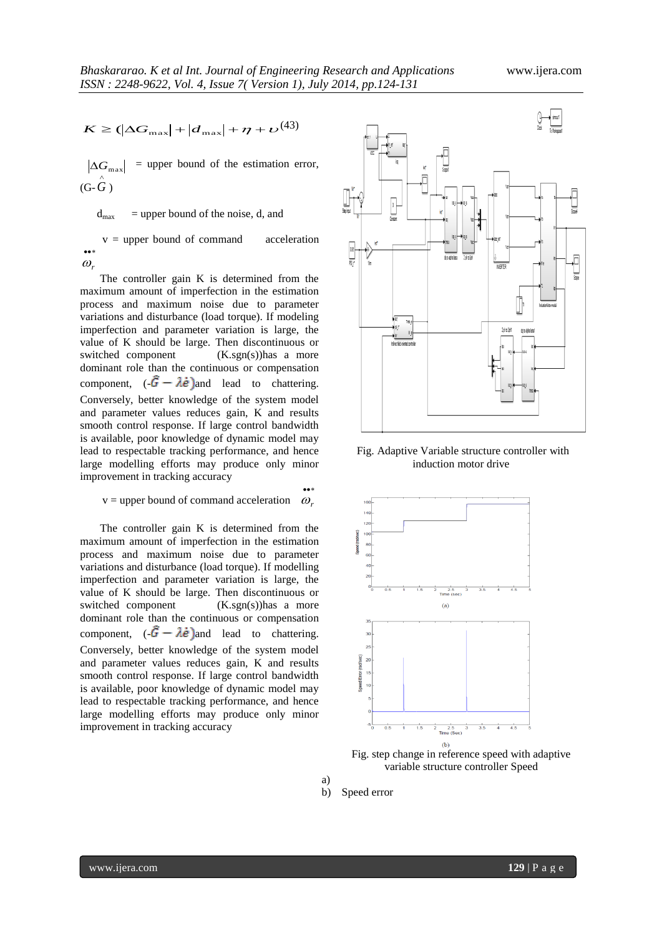$$
K \geq (\left| \Delta G_{\text{max}} \right| + \left| d_{\text{max}} \right| + \eta + \nu^{(43)}
$$

 $|\Delta G_{\text{max}}|$  = upper bound of the estimation error,  $(G - \hat{G})$ 

 $d_{\text{max}}$  = upper bound of the noise, d, and

 $v = upper$  bound of command acceleration  $\ddot{\phantom{a}}$  $\omega$ 

The controller gain K is determined from the maximum amount of imperfection in the estimation process and maximum noise due to parameter variations and disturbance (load torque). If modeling imperfection and parameter variation is large, the value of K should be large. Then discontinuous or switched component (K.sgn(s))has a more dominant role than the continuous or compensation component,  $\left(\frac{\hat{G} - \lambda \hat{e}}{\hat{e}}\right)$  and lead to chattering. Conversely, better knowledge of the system model and parameter values reduces gain, K and results smooth control response. If large control bandwidth is available, poor knowledge of dynamic model may lead to respectable tracking performance, and hence large modelling efforts may produce only minor improvement in tracking accuracy

 $v =$  upper bound of command acceleration  $\omega$ ,

••∗

The controller gain K is determined from the maximum amount of imperfection in the estimation process and maximum noise due to parameter variations and disturbance (load torque). If modelling imperfection and parameter variation is large, the value of K should be large. Then discontinuous or switched component (K.sgn(s))has a more dominant role than the continuous or compensation component,  $\left(-\hat{G} - \lambda \dot{e}\right)$  and lead to chattering. Conversely, better knowledge of the system model and parameter values reduces gain, K and results smooth control response. If large control bandwidth is available, poor knowledge of dynamic model may lead to respectable tracking performance, and hence large modelling efforts may produce only minor improvement in tracking accuracy



Fig. Adaptive Variable structure controller with induction motor drive



Fig. step change in reference speed with adaptive variable structure controller Speed

b) Speed error

a)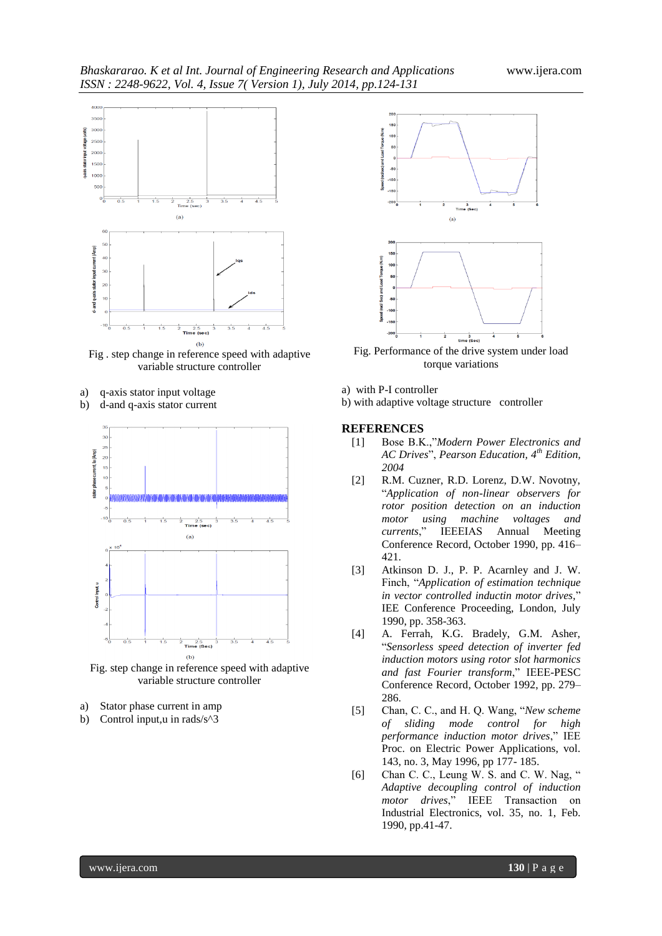

Fig . step change in reference speed with adaptive variable structure controller

- a) q-axis stator input voltage
- b) d-and q-axis stator current



Fig. step change in reference speed with adaptive variable structure controller

- a) Stator phase current in amp
- b) Control input,u in rads/s^3



Fig. Performance of the drive system under load torque variations

- a) with P-I controller
- b) with adaptive voltage structure controller

#### **REFERENCES**

- [1] Bose B.K.,"*Modern Power Electronics and AC Drives*", *Pearson Education, 4th Edition, 2004*
- [2] R.M. Cuzner, R.D. Lorenz, D.W. Novotny, "*Application of non-linear observers for rotor position detection on an induction motor using machine voltages and currents*," IEEEIAS Annual Meeting Conference Record, October 1990, pp. 416– 421.
- [3] Atkinson D. J., P. P. Acarnley and J. W. Finch, "*Application of estimation technique in vector controlled inductin motor drives,*" IEE Conference Proceeding, London, July 1990, pp. 358-363.
- [4] A. Ferrah, K.G. Bradely, G.M. Asher, "*Sensorless speed detection of inverter fed induction motors using rotor slot harmonics and fast Fourier transform*," IEEE-PESC Conference Record, October 1992, pp. 279– 286.
- [5] Chan, C. C., and H. Q. Wang, "*New scheme of sliding mode control for high performance induction motor drives*," IEE Proc. on Electric Power Applications, vol. 143, no. 3, May 1996, pp 177- 185.
- [6] Chan C. C., Leung W. S. and C. W. Nag, " *Adaptive decoupling control of induction motor drives*," IEEE Transaction on Industrial Electronics, vol. 35, no. 1, Feb. 1990, pp.41-47.